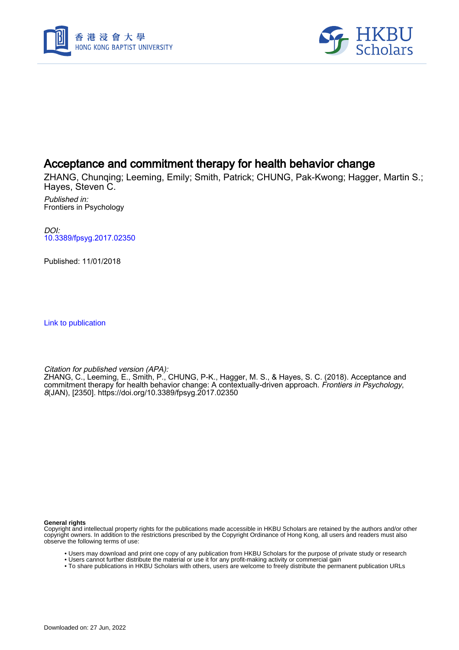



## Acceptance and commitment therapy for health behavior change

ZHANG, Chunqing; Leeming, Emily; Smith, Patrick; CHUNG, Pak-Kwong; Hagger, Martin S.; Hayes, Steven C.

Published in: Frontiers in Psychology

DOI: [10.3389/fpsyg.2017.02350](https://doi.org/10.3389/fpsyg.2017.02350)

Published: 11/01/2018

[Link to publication](https://scholars.hkbu.edu.hk/en/publications/1f6ce5cd-dd7b-4aa9-8fb8-9c586f903a4b)

Citation for published version (APA):

ZHANG, C., Leeming, E., Smith, P., CHUNG, P-K., Hagger, M. S., & Hayes, S. C. (2018). Acceptance and commitment therapy for health behavior change: A contextually-driven approach. Frontiers in Psychology, 8(JAN), [2350]. <https://doi.org/10.3389/fpsyg.2017.02350>

**General rights**

Copyright and intellectual property rights for the publications made accessible in HKBU Scholars are retained by the authors and/or other copyright owners. In addition to the restrictions prescribed by the Copyright Ordinance of Hong Kong, all users and readers must also observe the following terms of use:

- Users may download and print one copy of any publication from HKBU Scholars for the purpose of private study or research
- Users cannot further distribute the material or use it for any profit-making activity or commercial gain
- To share publications in HKBU Scholars with others, users are welcome to freely distribute the permanent publication URLs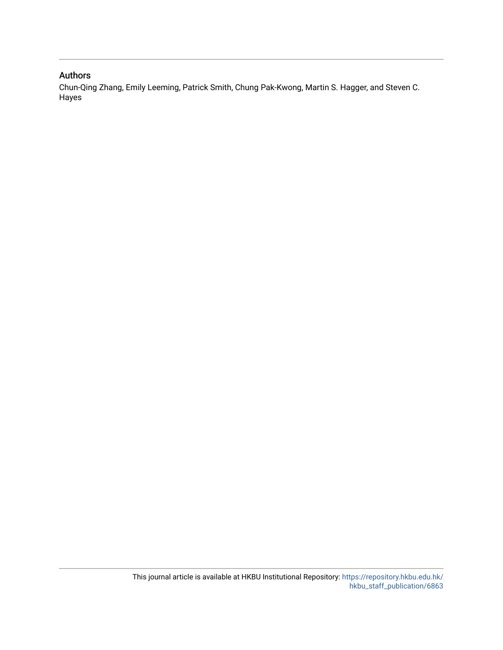#### Authors

Chun-Qing Zhang, Emily Leeming, Patrick Smith, Chung Pak-Kwong, Martin S. Hagger, and Steven C. Hayes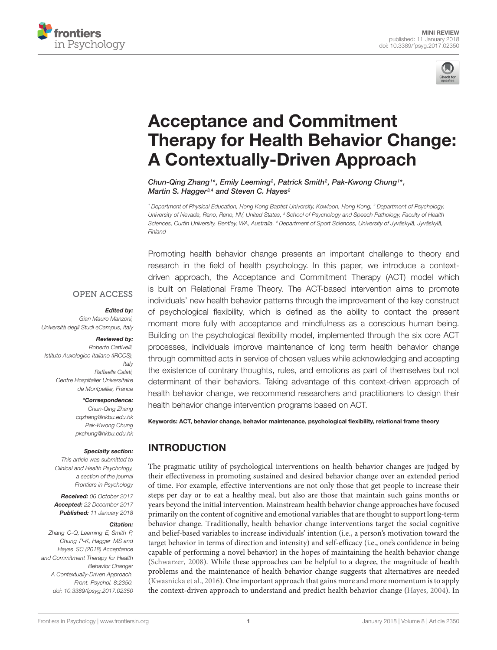



# Acceptance and Commitment [Therapy for Health Behavior Change:](https://www.frontiersin.org/articles/10.3389/fpsyg.2017.02350/full) A Contextually-Driven Approach

[Chun-Qing Zhang](http://loop.frontiersin.org/people/326794/overview)<sup>1\*</sup>, Emily Leeming<sup>2</sup>, [Patrick Smith](http://loop.frontiersin.org/people/497162/overview)<sup>2</sup>, Pak-Kwong Chung<sup>1\*</sup>, [Martin S. Hagger](http://loop.frontiersin.org/people/21368/overview)<sup>3,4</sup> and Steven C. Hayes<sup>2</sup>

<sup>1</sup> Department of Physical Education, Hong Kong Baptist University, Kowloon, Hong Kong, <sup>2</sup> Department of Psychology, University of Nevada, Reno, Reno, NV, United States, <sup>3</sup> School of Psychology and Speech Pathology, Faculty of Health Sciences, Curtin University, Bentley, WA, Australia, <sup>4</sup> Department of Sport Sciences, University of Jyväskylä, Jyväskylä, Finland

Promoting health behavior change presents an important challenge to theory and research in the field of health psychology. In this paper, we introduce a contextdriven approach, the Acceptance and Commitment Therapy (ACT) model which is built on Relational Frame Theory. The ACT-based intervention aims to promote individuals' new health behavior patterns through the improvement of the key construct of psychological flexibility, which is defined as the ability to contact the present moment more fully with acceptance and mindfulness as a conscious human being. Building on the psychological flexibility model, implemented through the six core ACT processes, individuals improve maintenance of long term health behavior change through committed acts in service of chosen values while acknowledging and accepting the existence of contrary thoughts, rules, and emotions as part of themselves but not determinant of their behaviors. Taking advantage of this context-driven approach of health behavior change, we recommend researchers and practitioners to design their health behavior change intervention programs based on ACT.

Keywords: ACT, behavior change, behavior maintenance, psychological flexibility, relational frame theory

### INTRODUCTION

The pragmatic utility of psychological interventions on health behavior changes are judged by their effectiveness in promoting sustained and desired behavior change over an extended period of time. For example, effective interventions are not only those that get people to increase their steps per day or to eat a healthy meal, but also are those that maintain such gains months or years beyond the initial intervention. Mainstream health behavior change approaches have focused primarily on the content of cognitive and emotional variables that are thought to support long-term behavior change. Traditionally, health behavior change interventions target the social cognitive and belief-based variables to increase individuals' intention (i.e., a person's motivation toward the target behavior in terms of direction and intensity) and self-efficacy (i.e., one's confidence in being capable of performing a novel behavior) in the hopes of maintaining the health behavior change (Schwarzer, 2008). While these approaches can be helpful to a degree, the magnitude of health problems and the maintenance of health behavior change suggests that alternatives are needed (Kwasnicka et al., 2016). One important approach that gains more and more momentum is to apply the context-driven approach to understand and predict health behavior change (Hayes, 2004). In

#### **OPEN ACCESS**

#### Edited by:

Gian Mauro Manzoni, Università degli Studi eCampus, Italy

#### Reviewed by:

Roberto Cattivelli, Istituto Auxologico Italiano (IRCCS), **Italy** Raffaella Calati, Centre Hospitalier Universitaire de Montpellier, France

#### \*Correspondence:

Chun-Qing Zhang cqzhang@hkbu.edu.hk Pak-Kwong Chung pkchung@hkbu.edu.hk

#### Specialty section:

This article was submitted to Clinical and Health Psychology, a section of the journal Frontiers in Psychology

Received: 06 October 2017 Accepted: 22 December 2017 Published: 11 January 2018

#### Citation:

Zhang C-Q, Leeming E, Smith P, Chung P-K, Hagger MS and Hayes SC (2018) Acceptance and Commitment Therapy for Health Behavior Change: A Contextually-Driven Approach. Front. Psychol. 8:2350. doi: [10.3389/fpsyg.2017.02350](https://doi.org/10.3389/fpsyg.2017.02350)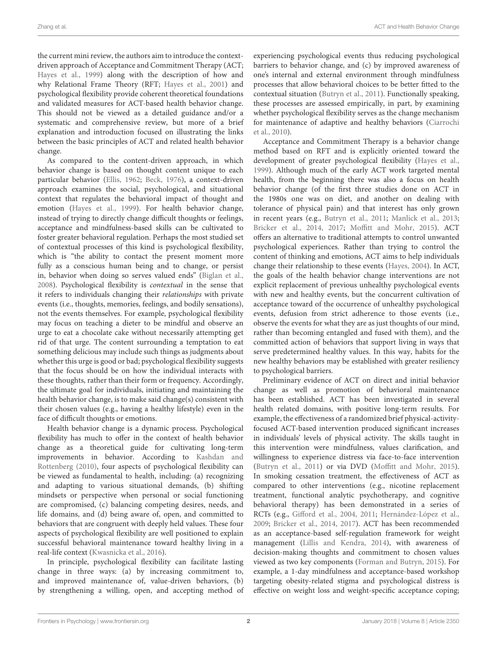the current mini review, the authors aim to introduce the contextdriven approach of Acceptance and Commitment Therapy (ACT; Hayes et al., 1999) along with the description of how and why Relational Frame Theory (RFT; Hayes et al., 2001) and psychological flexibility provide coherent theoretical foundations and validated measures for ACT-based health behavior change. This should not be viewed as a detailed guidance and/or a systematic and comprehensive review, but more of a brief explanation and introduction focused on illustrating the links between the basic principles of ACT and related health behavior change.

As compared to the content-driven approach, in which behavior change is based on thought content unique to each particular behavior (Ellis, 1962; Beck, 1976), a context-driven approach examines the social, psychological, and situational context that regulates the behavioral impact of thought and emotion (Hayes et al., 1999). For health behavior change, instead of trying to directly change difficult thoughts or feelings, acceptance and mindfulness-based skills can be cultivated to foster greater behavioral regulation. Perhaps the most studied set of contextual processes of this kind is psychological flexibility, which is "the ability to contact the present moment more fully as a conscious human being and to change, or persist in, behavior when doing so serves valued ends" (Biglan et al., 2008). Psychological flexibility is contextual in the sense that it refers to individuals changing their relationships with private events (i.e., thoughts, memories, feelings, and bodily sensations), not the events themselves. For example, psychological flexibility may focus on teaching a dieter to be mindful and observe an urge to eat a chocolate cake without necessarily attempting get rid of that urge. The content surrounding a temptation to eat something delicious may include such things as judgments about whether this urge is good or bad; psychological flexibility suggests that the focus should be on how the individual interacts with these thoughts, rather than their form or frequency. Accordingly, the ultimate goal for individuals, initiating and maintaining the health behavior change, is to make said change(s) consistent with their chosen values (e.g., having a healthy lifestyle) even in the face of difficult thoughts or emotions.

Health behavior change is a dynamic process. Psychological flexibility has much to offer in the context of health behavior change as a theoretical guide for cultivating long-term improvements in behavior. According to Kashdan and Rottenberg (2010), four aspects of psychological flexibility can be viewed as fundamental to health, including: (a) recognizing and adapting to various situational demands, (b) shifting mindsets or perspective when personal or social functioning are compromised, (c) balancing competing desires, needs, and life domains, and (d) being aware of, open, and committed to behaviors that are congruent with deeply held values. These four aspects of psychological flexibility are well positioned to explain successful behavioral maintenance toward healthy living in a real-life context (Kwasnicka et al., 2016).

In principle, psychological flexibility can facilitate lasting change in three ways: (a) by increasing commitment to, and improved maintenance of, value-driven behaviors, (b) by strengthening a willing, open, and accepting method of experiencing psychological events thus reducing psychological barriers to behavior change, and (c) by improved awareness of one's internal and external environment through mindfulness processes that allow behavioral choices to be better fitted to the contextual situation (Butryn et al., 2011). Functionally speaking, these processes are assessed empirically, in part, by examining whether psychological flexibility serves as the change mechanism for maintenance of adaptive and healthy behaviors (Ciarrochi et al., 2010).

Acceptance and Commitment Therapy is a behavior change method based on RFT and is explicitly oriented toward the development of greater psychological flexibility (Hayes et al., 1999). Although much of the early ACT work targeted mental health, from the beginning there was also a focus on health behavior change (of the first three studies done on ACT in the 1980s one was on diet, and another on dealing with tolerance of physical pain) and that interest has only grown in recent years (e.g., Butryn et al., 2011; Manlick et al., 2013; Bricker et al., 2014, 2017; Moffitt and Mohr, 2015). ACT offers an alternative to traditional attempts to control unwanted psychological experiences. Rather than trying to control the content of thinking and emotions, ACT aims to help individuals change their relationship to these events (Hayes, 2004). In ACT, the goals of the health behavior change interventions are not explicit replacement of previous unhealthy psychological events with new and healthy events, but the concurrent cultivation of acceptance toward of the occurrence of unhealthy psychological events, defusion from strict adherence to those events (i.e., observe the events for what they are as just thoughts of our mind, rather than becoming entangled and fused with them), and the committed action of behaviors that support living in ways that serve predetermined healthy values. In this way, habits for the new healthy behaviors may be established with greater resiliency to psychological barriers.

Preliminary evidence of ACT on direct and initial behavior change as well as promotion of behavioral maintenance has been established. ACT has been investigated in several health related domains, with positive long-term results. For example, the effectiveness of a randomized brief physical-activityfocused ACT-based intervention produced significant increases in individuals' levels of physical activity. The skills taught in this intervention were mindfulness, values clarification, and willingness to experience distress via face-to-face intervention (Butryn et al., 2011) or via DVD (Moffitt and Mohr, 2015). In smoking cessation treatment, the effectiveness of ACT as compared to other interventions (e.g., nicotine replacement treatment, functional analytic psychotherapy, and cognitive behavioral therapy) has been demonstrated in a series of RCTs (e.g., Gifford et al., 2004, 2011; Hernández-López et al., 2009; Bricker et al., 2014, 2017). ACT has been recommended as an acceptance-based self-regulation framework for weight management (Lillis and Kendra, 2014), with awareness of decision-making thoughts and commitment to chosen values viewed as two key components (Forman and Butryn, 2015). For example, a 1-day mindfulness and acceptance-based workshop targeting obesity-related stigma and psychological distress is effective on weight loss and weight-specific acceptance coping;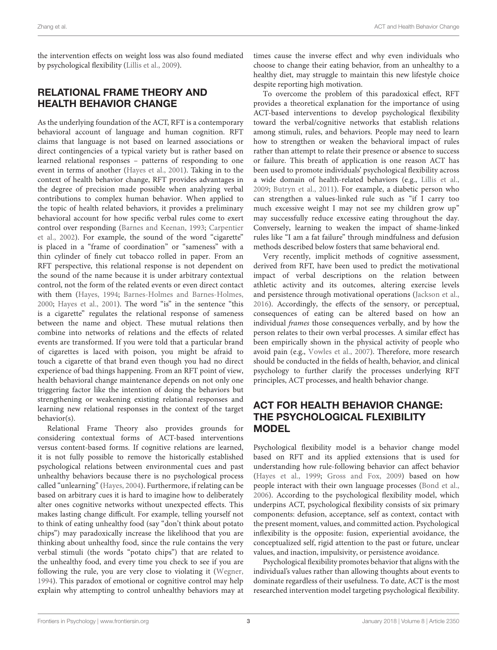the intervention effects on weight loss was also found mediated by psychological flexibility (Lillis et al., 2009).

### RELATIONAL FRAME THEORY AND HEALTH BEHAVIOR CHANGE

As the underlying foundation of the ACT, RFT is a contemporary behavioral account of language and human cognition. RFT claims that language is not based on learned associations or direct contingencies of a typical variety but is rather based on learned relational responses – patterns of responding to one event in terms of another (Hayes et al., 2001). Taking in to the context of health behavior change, RFT provides advantages in the degree of precision made possible when analyzing verbal contributions to complex human behavior. When applied to the topic of health related behaviors, it provides a preliminary behavioral account for how specific verbal rules come to exert control over responding (Barnes and Keenan, 1993; Carpentier et al., 2002). For example, the sound of the word "cigarette" is placed in a "frame of coordination" or "sameness" with a thin cylinder of finely cut tobacco rolled in paper. From an RFT perspective, this relational response is not dependent on the sound of the name because it is under arbitrary contextual control, not the form of the related events or even direct contact with them (Hayes, 1994; Barnes-Holmes and Barnes-Holmes, 2000; Hayes et al., 2001). The word "is" in the sentence "this is a cigarette" regulates the relational response of sameness between the name and object. These mutual relations then combine into networks of relations and the effects of related events are transformed. If you were told that a particular brand of cigarettes is laced with poison, you might be afraid to touch a cigarette of that brand even though you had no direct experience of bad things happening. From an RFT point of view, health behavioral change maintenance depends on not only one triggering factor like the intention of doing the behaviors but strengthening or weakening existing relational responses and learning new relational responses in the context of the target behavior(s).

Relational Frame Theory also provides grounds for considering contextual forms of ACT-based interventions versus content-based forms. If cognitive relations are learned, it is not fully possible to remove the historically established psychological relations between environmental cues and past unhealthy behaviors because there is no psychological process called "unlearning" (Hayes, 2004). Furthermore, if relating can be based on arbitrary cues it is hard to imagine how to deliberately alter ones cognitive networks without unexpected effects. This makes lasting change difficult. For example, telling yourself not to think of eating unhealthy food (say "don't think about potato chips") may paradoxically increase the likelihood that you are thinking about unhealthy food, since the rule contains the very verbal stimuli (the words "potato chips") that are related to the unhealthy food, and every time you check to see if you are following the rule, you are very close to violating it (Wegner, 1994). This paradox of emotional or cognitive control may help explain why attempting to control unhealthy behaviors may at times cause the inverse effect and why even individuals who choose to change their eating behavior, from an unhealthy to a healthy diet, may struggle to maintain this new lifestyle choice despite reporting high motivation.

To overcome the problem of this paradoxical effect, RFT provides a theoretical explanation for the importance of using ACT-based interventions to develop psychological flexibility toward the verbal/cognitive networks that establish relations among stimuli, rules, and behaviors. People may need to learn how to strengthen or weaken the behavioral impact of rules rather than attempt to relate their presence or absence to success or failure. This breath of application is one reason ACT has been used to promote individuals' psychological flexibility across a wide domain of health-related behaviors (e.g., Lillis et al., 2009; Butryn et al., 2011). For example, a diabetic person who can strengthen a values-linked rule such as "if I carry too much excessive weight I may not see my children grow up" may successfully reduce excessive eating throughout the day. Conversely, learning to weaken the impact of shame-linked rules like "I am a fat failure" through mindfulness and defusion methods described below fosters that same behavioral end.

Very recently, implicit methods of cognitive assessment, derived from RFT, have been used to predict the motivational impact of verbal descriptions on the relation between athletic activity and its outcomes, altering exercise levels and persistence through motivational operations (Jackson et al., 2016). Accordingly, the effects of the sensory, or perceptual, consequences of eating can be altered based on how an individual frames those consequences verbally, and by how the person relates to their own verbal processes. A similar effect has been empirically shown in the physical activity of people who avoid pain (e.g., Vowles et al., 2007). Therefore, more research should be conducted in the fields of health, behavior, and clinical psychology to further clarify the processes underlying RFT principles, ACT processes, and health behavior change.

### ACT FOR HEALTH BEHAVIOR CHANGE: THE PSYCHOLOGICAL FLEXIBILITY MODEL

Psychological flexibility model is a behavior change model based on RFT and its applied extensions that is used for understanding how rule-following behavior can affect behavior (Hayes et al., 1999; Gross and Fox, 2009) based on how people interact with their own language processes (Bond et al., 2006). According to the psychological flexibility model, which underpins ACT, psychological flexibility consists of six primary components: defusion, acceptance, self as context, contact with the present moment, values, and committed action. Psychological inflexibility is the opposite: fusion, experiential avoidance, the conceptualized self, rigid attention to the past or future, unclear values, and inaction, impulsivity, or persistence avoidance.

Psychological flexibility promotes behavior that aligns with the individual's values rather than allowing thoughts about events to dominate regardless of their usefulness. To date, ACT is the most researched intervention model targeting psychological flexibility.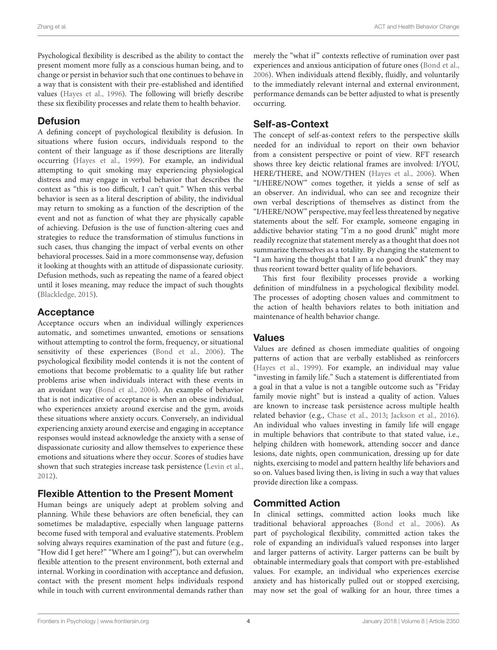Psychological flexibility is described as the ability to contact the present moment more fully as a conscious human being, and to change or persist in behavior such that one continues to behave in a way that is consistent with their pre-established and identified values (Hayes et al., 1996). The following will briefly describe these six flexibility processes and relate them to health behavior.

#### **Defusion**

A defining concept of psychological flexibility is defusion. In situations where fusion occurs, individuals respond to the content of their language as if those descriptions are literally occurring (Hayes et al., 1999). For example, an individual attempting to quit smoking may experiencing physiological distress and may engage in verbal behavior that describes the context as "this is too difficult, I can't quit." When this verbal behavior is seen as a literal description of ability, the individual may return to smoking as a function of the description of the event and not as function of what they are physically capable of achieving. Defusion is the use of function-altering cues and strategies to reduce the transformation of stimulus functions in such cases, thus changing the impact of verbal events on other behavioral processes. Said in a more commonsense way, defusion it looking at thoughts with an attitude of dispassionate curiosity. Defusion methods, such as repeating the name of a feared object until it loses meaning, may reduce the impact of such thoughts (Blackledge, 2015).

#### Acceptance

Acceptance occurs when an individual willingly experiences automatic, and sometimes unwanted, emotions or sensations without attempting to control the form, frequency, or situational sensitivity of these experiences (Bond et al., 2006). The psychological flexibility model contends it is not the content of emotions that become problematic to a quality life but rather problems arise when individuals interact with these events in an avoidant way (Bond et al., 2006). An example of behavior that is not indicative of acceptance is when an obese individual, who experiences anxiety around exercise and the gym, avoids these situations where anxiety occurs. Conversely, an individual experiencing anxiety around exercise and engaging in acceptance responses would instead acknowledge the anxiety with a sense of dispassionate curiosity and allow themselves to experience these emotions and situations where they occur. Scores of studies have shown that such strategies increase task persistence (Levin et al., 2012).

### Flexible Attention to the Present Moment

Human beings are uniquely adept at problem solving and planning. While these behaviors are often beneficial, they can sometimes be maladaptive, especially when language patterns become fused with temporal and evaluative statements. Problem solving always requires examination of the past and future (e.g., "How did I get here?" "Where am I going?"), but can overwhelm flexible attention to the present environment, both external and internal. Working in coordination with acceptance and defusion, contact with the present moment helps individuals respond while in touch with current environmental demands rather than

merely the "what if" contexts reflective of rumination over past experiences and anxious anticipation of future ones (Bond et al., 2006). When individuals attend flexibly, fluidly, and voluntarily to the immediately relevant internal and external environment, performance demands can be better adjusted to what is presently occurring.

#### Self-as-Context

The concept of self-as-context refers to the perspective skills needed for an individual to report on their own behavior from a consistent perspective or point of view. RFT research shows three key deictic relational frames are involved: I/YOU, HERE/THERE, and NOW/THEN (Hayes et al., 2006). When "I/HERE/NOW" comes together, it yields a sense of self as an observer. An individual, who can see and recognize their own verbal descriptions of themselves as distinct from the "I/HERE/NOW" perspective, may feel less threatened by negative statements about the self. For example, someone engaging in addictive behavior stating "I'm a no good drunk" might more readily recognize that statement merely as a thought that does not summarize themselves as a totality. By changing the statement to "I am having the thought that I am a no good drunk" they may thus reorient toward better quality of life behaviors.

This first four flexibility processes provide a working definition of mindfulness in a psychological flexibility model. The processes of adopting chosen values and commitment to the action of health behaviors relates to both initiation and maintenance of health behavior change.

#### Values

Values are defined as chosen immediate qualities of ongoing patterns of action that are verbally established as reinforcers (Hayes et al., 1999). For example, an individual may value "investing in family life." Such a statement is differentiated from a goal in that a value is not a tangible outcome such as "Friday family movie night" but is instead a quality of action. Values are known to increase task persistence across multiple health related behavior (e.g., Chase et al., 2013; Jackson et al., 2016). An individual who values investing in family life will engage in multiple behaviors that contribute to that stated value, i.e., helping children with homework, attending soccer and dance lesions, date nights, open communication, dressing up for date nights, exercising to model and pattern healthy life behaviors and so on. Values based living then, is living in such a way that values provide direction like a compass.

### Committed Action

In clinical settings, committed action looks much like traditional behavioral approaches (Bond et al., 2006). As part of psychological flexibility, committed action takes the role of expanding an individual's valued responses into larger and larger patterns of activity. Larger patterns can be built by obtainable intermediary goals that comport with pre-established values. For example, an individual who experiences exercise anxiety and has historically pulled out or stopped exercising, may now set the goal of walking for an hour, three times a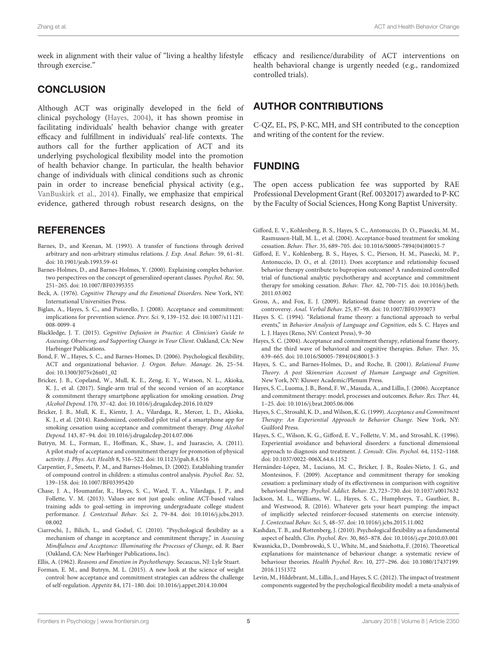week in alignment with their value of "living a healthy lifestyle through exercise."

#### **CONCLUSION**

Although ACT was originally developed in the field of clinical psychology (Hayes, 2004), it has shown promise in facilitating individuals' health behavior change with greater efficacy and fulfillment in individuals' real-life contexts. The authors call for the further application of ACT and its underlying psychological flexibility model into the promotion of health behavior change. In particular, the health behavior change of individuals with clinical conditions such as chronic pain in order to increase beneficial physical activity (e.g., VanBuskirk et al., 2014). Finally, we emphasize that empirical evidence, gathered through robust research designs, on the

#### **REFERENCES**

- Barnes, D., and Keenan, M. (1993). A transfer of functions through derived arbitrary and non-arbitrary stimulus relations. J. Exp. Anal. Behav. 59, 61–81. [doi: 10.1901/jeab.1993.59-61](https://doi.org/10.1901/jeab.1993.59-61)
- Barnes-Holmes, D., and Barnes-Holmes, Y. (2000). Explaining complex behavior. two perspectives on the concept of generalized operant classes. Psychol. Rec. 50, 251–265. [doi: 10.1007/BF03395355](https://doi.org/10.1007/BF03395355)
- Beck, A. (1976). Cognitive Therapy and the Emotional Disorders. New York, NY: International Universities Press.
- Biglan, A., Hayes, S. C., and Pistorello, J. (2008). Acceptance and commitment: implications for prevention science. Prev. Sci. 9, 139–152. [doi: 10.1007/s11121-](https://doi.org/10.1007/s11121-008-0099-4) [008-0099-4](https://doi.org/10.1007/s11121-008-0099-4)
- Blackledge, J. T. (2015). Cognitive Defusion in Practice: A Clinician's Guide to Assessing, Observing, and Supporting Change in Your Client. Oakland, CA: New Harbinger Publications.
- Bond, F. W., Hayes, S. C., and Barnes-Homes, D. (2006). Psychological flexibility, ACT and organizational behavior. J. Organ. Behav. Manage. 26, 25–54. [doi: 10.1300/J075v26n01\\_02](https://doi.org/10.1300/J075v26n01_02)
- Bricker, J. B., Copeland, W., Mull, K. E., Zeng, E. Y., Watson, N. L., Akioka, K. J., et al. (2017). Single-arm trial of the second version of an acceptance & commitment therapy smartphone application for smoking cessation. Drug Alcohol Depend. 170, 37–42. [doi: 10.1016/j.drugalcdep.2016.10.029](https://doi.org/10.1016/j.drugalcdep.2016.10.029)
- Bricker, J. B., Mull, K. E., Kientz, J. A., Vilardaga, R., Mercer, L. D., Akioka, K. J., et al. (2014). Randomized, controlled pilot trial of a smartphone app for smoking cessation using acceptance and commitment therapy. Drug Alcohol Depend. 143, 87–94. [doi: 10.1016/j.drugalcdep.2014.07.006](https://doi.org/10.1016/j.drugalcdep.2014.07.006)
- Butryn, M. L., Forman, E., Hoffman, K., Shaw, J., and Juarascio, A. (2011). A pilot study of acceptance and commitment therapy for promotion of physical activity. J. Phys. Act. Health 8, 516–522. [doi: 10.1123/jpah.8.4.516](https://doi.org/10.1123/jpah.8.4.516)
- Carpentier, F., Smeets, P. M., and Barnes-Holmes, D. (2002). Establishing transfer of compound control in children: a stimulus control analysis. Psychol. Rec. 52, 139–158. [doi: 10.1007/BF03395420](https://doi.org/10.1007/BF03395420)
- Chase, J. A., Houmanfar, R., Hayes, S. C., Ward, T. A., Vilardaga, J. P., and Follette, V. M. (2013). Values are not just goals: online ACT-based values training adds to goal-setting in improving undergraduate college student performance. J. Contextual Behav. Sci. 2, 79–84. [doi: 10.1016/j.jcbs.2013.](https://doi.org/10.1016/j.jcbs.2013.08.002) [08.002](https://doi.org/10.1016/j.jcbs.2013.08.002)
- Ciarrochi, J., Bilich, L., and Godsel, C. (2010). "Psychological flexibility as a mechanism of change in acceptance and commitment therapy," in Assessing Mindfulness and Acceptance: Illuminating the Processes of Change, ed. R. Baer (Oakland, CA: New Harbinger Publications, Inc).

Ellis, A. (1962). Reasons and Emotion in Psychotherapy. Secaucus, NJ: Lyle Stuart.

Forman, E. M., and Butryn, M. L. (2015). A new look at the science of weight control: how acceptance and commitment strategies can address the challenge of self-regulation. Appetite 84, 171–180. [doi: 10.1016/j.appet.2014.10.004](https://doi.org/10.1016/j.appet.2014.10.004)

efficacy and resilience/durability of ACT interventions on health behavioral change is urgently needed (e.g., randomized controlled trials).

#### AUTHOR CONTRIBUTIONS

C-QZ, EL, PS, P-KC, MH, and SH contributed to the conception and writing of the content for the review.

### FUNDING

The open access publication fee was supported by RAE Professional Development Grant (Ref. 0032017) awarded to P-KC by the Faculty of Social Sciences, Hong Kong Baptist University.

- Gifford, E. V., Kohlenberg, B. S., Hayes, S. C., Antonuccio, D. O., Piasecki, M. M., Rasmussen-Hall, M. L., et al. (2004). Acceptance-based treatment for smoking cessation. Behav. Ther. 35, 689–705. [doi: 10.1016/S0005-7894\(04\)80015-7](https://doi.org/10.1016/S0005-7894(04)80015-7)
- Gifford, E. V., Kohlenberg, B. S., Hayes, S. C., Pierson, H. M., Piasecki, M. P., Antonuccio, D. O., et al. (2011). Does acceptance and relationship focused behavior therapy contribute to bupropion outcomes? A randomized controlled trial of functional analytic psychotherapy and acceptance and commitment therapy for smoking cessation. Behav. Ther. 42, 700–715. [doi: 10.1016/j.beth.](https://doi.org/10.1016/j.beth.2011.03.002) [2011.03.002](https://doi.org/10.1016/j.beth.2011.03.002)
- Gross, A., and Fox, E. J. (2009). Relational frame theory: an overview of the controversy. Anal. Verbal Behav. 25, 87–98. [doi: 10.1007/BF03393073](https://doi.org/10.1007/BF03393073)
- Hayes S. C. (1994). "Relational frame theory: a functional approach to verbal events," in Behavior Analysis of Language and Cognition, eds S. C. Hayes and L. J. Hayes (Reno, NV: Context Press), 9–30
- Hayes, S. C. (2004). Acceptance and commitment therapy, relational frame theory, and the third wave of behavioral and cognitive therapies. Behav. Ther. 35, 639–665. [doi: 10.1016/S0005-7894\(04\)80013-3](https://doi.org/10.1016/S0005-7894(04)80013-3)
- Hayes, S. C., and Barnes-Holmes, D., and Roche, B. (2001). Relational Frame Theory. A post Skinnerian Account of Human Language and Cognition. New York, NY: Kluwer Academic/Plenum Press.
- Hayes, S. C., Luoma, J. B., Bond, F. W., Masuda, A., and Lillis, J. (2006). Acceptance and commitment therapy: model, processes and outcomes. Behav. Res. Ther. 44, 1–25. [doi: 10.1016/j.brat.2005.06.006](https://doi.org/10.1016/j.brat.2005.06.006)
- Hayes, S. C., Strosahl, K. D., and Wilson, K. G. (1999). Acceptance and Commitment Therapy: An Experiential Approach to Behavior Change. New York, NY: Guilford Press.
- Hayes, S. C., Wilson, K. G., Gifford, E. V., Follette, V. M., and Strosahl, K. (1996). Experiential avoidance and behavioral disorders: a functional dimensional approach to diagnosis and treatment. J. Consult. Clin. Psychol. 64, 1152–1168. [doi: 10.1037/0022-006X.64.6.1152](https://doi.org/10.1037/0022-006X.64.6.1152)
- Hernández-López, M., Luciano, M. C., Bricker, J. B., Roales-Nieto, J. G., and Montesinos, F. (2009). Acceptance and commitment therapy for smoking cessation: a preliminary study of its effectiveness in comparison with cognitive behavioral therapy. Psychol. Addict. Behav. 23, 723–730. [doi: 10.1037/a0017632](https://doi.org/10.1037/a0017632)
- Jackson, M. L., Williams, W. L., Hayes, S. C., Humphreys, T., Gauthier, B., and Westwood, R. (2016). Whatever gets your heart pumping: the impact of implicitly selected reinforcer-focused statements on exercise intensity. J. Contextual Behav. Sci. 5, 48–57. [doi: 10.1016/j.jcbs.2015.11.002](https://doi.org/10.1016/j.jcbs.2015.11.002)
- Kashdan, T. B., and Rottenberg, J. (2010). Psychological flexibility as a fundamental aspect of health. Clin. Psychol. Rev. 30, 865–878. [doi: 10.1016/j.cpr.2010.03.001](https://doi.org/10.1016/j.cpr.2010.03.001)
- Kwasnicka, D., Dombrowski, S. U., White, M., and Sniehotta, F. (2016). Theoretical explanations for maintenance of behaviour change: a systematic review of behaviour theories. Health Psychol. Rev. 10, 277–296. [doi: 10.1080/17437199.](https://doi.org/10.1080/17437199.2016.1151372) [2016.1151372](https://doi.org/10.1080/17437199.2016.1151372)
- Levin, M., Hildebrant, M., Lillis, J., and Hayes, S. C. (2012). The impact of treatment components suggested by the psychological flexibility model: a meta-analysis of